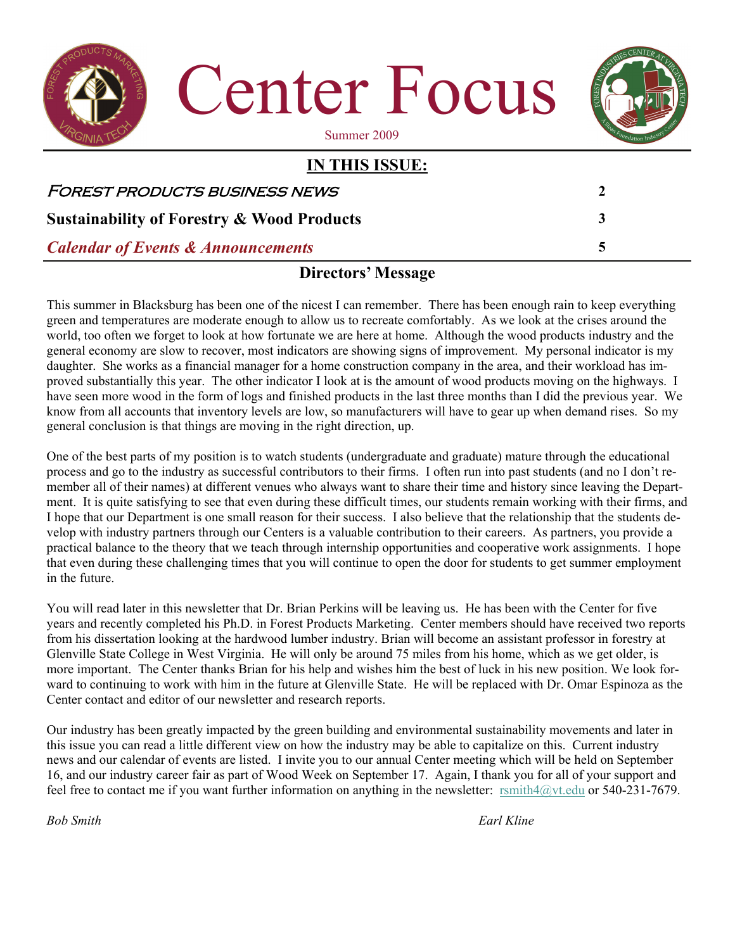

## **Directors' Message**

This summer in Blacksburg has been one of the nicest I can remember. There has been enough rain to keep everything green and temperatures are moderate enough to allow us to recreate comfortably. As we look at the crises around the world, too often we forget to look at how fortunate we are here at home. Although the wood products industry and the general economy are slow to recover, most indicators are showing signs of improvement. My personal indicator is my daughter. She works as a financial manager for a home construction company in the area, and their workload has improved substantially this year. The other indicator I look at is the amount of wood products moving on the highways. I have seen more wood in the form of logs and finished products in the last three months than I did the previous year. We know from all accounts that inventory levels are low, so manufacturers will have to gear up when demand rises. So my general conclusion is that things are moving in the right direction, up.

One of the best parts of my position is to watch students (undergraduate and graduate) mature through the educational process and go to the industry as successful contributors to their firms. I often run into past students (and no I don't remember all of their names) at different venues who always want to share their time and history since leaving the Department. It is quite satisfying to see that even during these difficult times, our students remain working with their firms, and I hope that our Department is one small reason for their success. I also believe that the relationship that the students develop with industry partners through our Centers is a valuable contribution to their careers. As partners, you provide a practical balance to the theory that we teach through internship opportunities and cooperative work assignments. I hope that even during these challenging times that you will continue to open the door for students to get summer employment in the future.

You will read later in this newsletter that Dr. Brian Perkins will be leaving us. He has been with the Center for five years and recently completed his Ph.D. in Forest Products Marketing. Center members should have received two reports from his dissertation looking at the hardwood lumber industry. Brian will become an assistant professor in forestry at Glenville State College in West Virginia. He will only be around 75 miles from his home, which as we get older, is more important. The Center thanks Brian for his help and wishes him the best of luck in his new position. We look forward to continuing to work with him in the future at Glenville State. He will be replaced with Dr. Omar Espinoza as the Center contact and editor of our newsletter and research reports.

Our industry has been greatly impacted by the green building and environmental sustainability movements and later in this issue you can read a little different view on how the industry may be able to capitalize on this. Current industry news and our calendar of events are listed. I invite you to our annual Center meeting which will be held on September 16, and our industry career fair as part of Wood Week on September 17. Again, I thank you for all of your support and feel free to contact me if you want further information on anything in the newsletter: [rsmith4@vt.edu](mailto:rsmith4@vt.edu) or 540-231-7679.

*Bob Smith Earl Kline*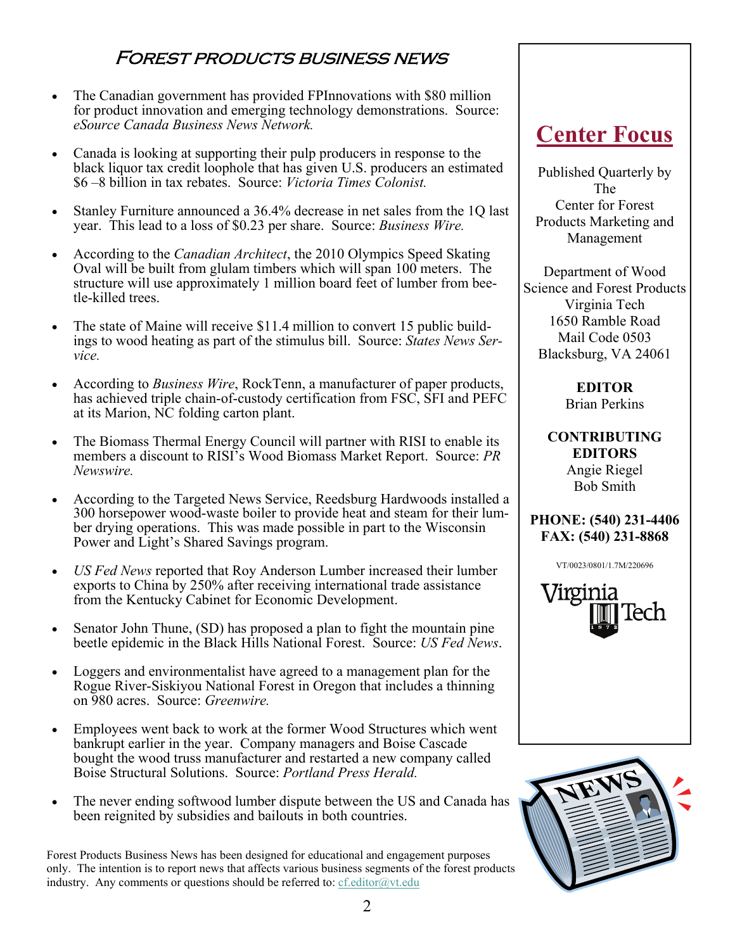## Forest products business news

- The Canadian government has provided FPInnovations with \$80 million for product innovation and emerging technology demonstrations. Source: *eSource Canada Business News Network.*
- Canada is looking at supporting their pulp producers in response to the black liquor tax credit loophole that has given U.S. producers an estimated \$6 –8 billion in tax rebates. Source: *Victoria Times Colonist.*
- Stanley Furniture announced a 36.4% decrease in net sales from the 1Q last year. This lead to a loss of \$0.23 per share. Source: *Business Wire.*
- According to the *Canadian Architect*, the 2010 Olympics Speed Skating Oval will be built from glulam timbers which will span 100 meters. The structure will use approximately 1 million board feet of lumber from beetle-killed trees.
- The state of Maine will receive \$11.4 million to convert 15 public buildings to wood heating as part of the stimulus bill. Source: *States News Service.*
- According to *Business Wire*, RockTenn, a manufacturer of paper products, has achieved triple chain-of-custody certification from FSC, SFI and PEFC at its Marion, NC folding carton plant.
- The Biomass Thermal Energy Council will partner with RISI to enable its members a discount to RISI's Wood Biomass Market Report. Source: *PR Newswire.*
- According to the Targeted News Service, Reedsburg Hardwoods installed a 300 horsepower wood-waste boiler to provide heat and steam for their lumber drying operations. This was made possible in part to the Wisconsin Power and Light's Shared Savings program.
- *US Fed News* reported that Roy Anderson Lumber increased their lumber exports to China by 250% after receiving international trade assistance from the Kentucky Cabinet for Economic Development.
- Senator John Thune, (SD) has proposed a plan to fight the mountain pine beetle epidemic in the Black Hills National Forest. Source: *US Fed News*.
- Loggers and environmentalist have agreed to a management plan for the Rogue River-Siskiyou National Forest in Oregon that includes a thinning on 980 acres. Source: *Greenwire.*
- Employees went back to work at the former Wood Structures which went bankrupt earlier in the year. Company managers and Boise Cascade bought the wood truss manufacturer and restarted a new company called Boise Structural Solutions. Source: *Portland Press Herald.*
- The never ending softwood lumber dispute between the US and Canada has been reignited by subsidies and bailouts in both countries.

Forest Products Business News has been designed for educational and engagement purposes only. The intention is to report news that affects various business segments of the forest products industry. Any comments or questions should be referred to:  $cf.$ editor $@$ vt.edu

## **Center Focus**

Published Quarterly by The Center for Forest Products Marketing and Management

Department of Wood Science and Forest Products Virginia Tech 1650 Ramble Road Mail Code 0503 Blacksburg, VA 24061

> **EDITOR**  Brian Perkins

**CONTRIBUTING EDITORS**  Angie Riegel Bob Smith

#### **PHONE: (540) 231-4406 FAX: (540) 231-8868**

VT/0023/0801/1.7M/220696



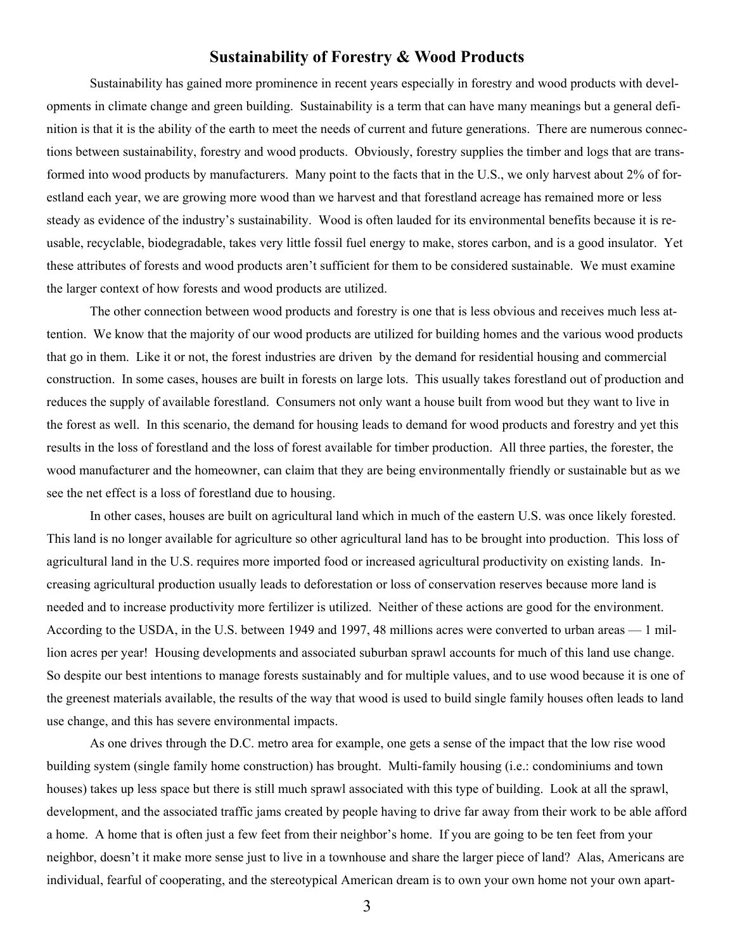#### **Sustainability of Forestry & Wood Products**

 Sustainability has gained more prominence in recent years especially in forestry and wood products with developments in climate change and green building. Sustainability is a term that can have many meanings but a general definition is that it is the ability of the earth to meet the needs of current and future generations. There are numerous connections between sustainability, forestry and wood products. Obviously, forestry supplies the timber and logs that are transformed into wood products by manufacturers. Many point to the facts that in the U.S., we only harvest about 2% of forestland each year, we are growing more wood than we harvest and that forestland acreage has remained more or less steady as evidence of the industry's sustainability. Wood is often lauded for its environmental benefits because it is reusable, recyclable, biodegradable, takes very little fossil fuel energy to make, stores carbon, and is a good insulator. Yet these attributes of forests and wood products aren't sufficient for them to be considered sustainable. We must examine the larger context of how forests and wood products are utilized.

 The other connection between wood products and forestry is one that is less obvious and receives much less attention. We know that the majority of our wood products are utilized for building homes and the various wood products that go in them. Like it or not, the forest industries are driven by the demand for residential housing and commercial construction. In some cases, houses are built in forests on large lots. This usually takes forestland out of production and reduces the supply of available forestland. Consumers not only want a house built from wood but they want to live in the forest as well. In this scenario, the demand for housing leads to demand for wood products and forestry and yet this results in the loss of forestland and the loss of forest available for timber production. All three parties, the forester, the wood manufacturer and the homeowner, can claim that they are being environmentally friendly or sustainable but as we see the net effect is a loss of forestland due to housing.

 In other cases, houses are built on agricultural land which in much of the eastern U.S. was once likely forested. This land is no longer available for agriculture so other agricultural land has to be brought into production. This loss of agricultural land in the U.S. requires more imported food or increased agricultural productivity on existing lands. Increasing agricultural production usually leads to deforestation or loss of conservation reserves because more land is needed and to increase productivity more fertilizer is utilized. Neither of these actions are good for the environment. According to the USDA, in the U.S. between 1949 and 1997, 48 millions acres were converted to urban areas — 1 million acres per year! Housing developments and associated suburban sprawl accounts for much of this land use change. So despite our best intentions to manage forests sustainably and for multiple values, and to use wood because it is one of the greenest materials available, the results of the way that wood is used to build single family houses often leads to land use change, and this has severe environmental impacts.

 As one drives through the D.C. metro area for example, one gets a sense of the impact that the low rise wood building system (single family home construction) has brought. Multi-family housing (i.e.: condominiums and town houses) takes up less space but there is still much sprawl associated with this type of building. Look at all the sprawl, development, and the associated traffic jams created by people having to drive far away from their work to be able afford a home. A home that is often just a few feet from their neighbor's home. If you are going to be ten feet from your neighbor, doesn't it make more sense just to live in a townhouse and share the larger piece of land? Alas, Americans are individual, fearful of cooperating, and the stereotypical American dream is to own your own home not your own apart-

3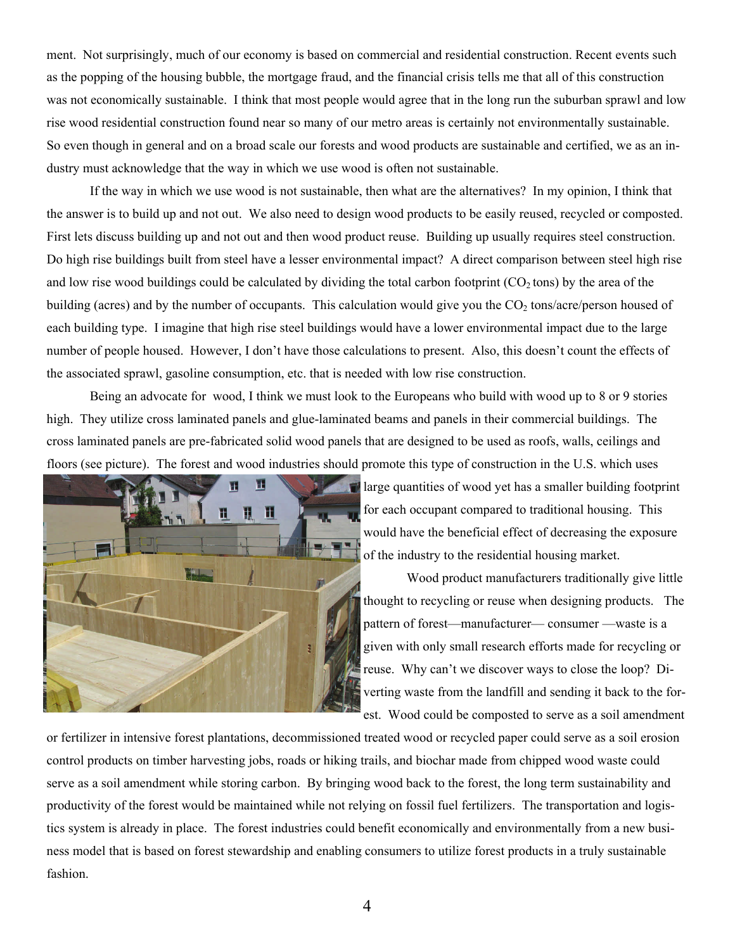ment. Not surprisingly, much of our economy is based on commercial and residential construction. Recent events such as the popping of the housing bubble, the mortgage fraud, and the financial crisis tells me that all of this construction was not economically sustainable. I think that most people would agree that in the long run the suburban sprawl and low rise wood residential construction found near so many of our metro areas is certainly not environmentally sustainable. So even though in general and on a broad scale our forests and wood products are sustainable and certified, we as an industry must acknowledge that the way in which we use wood is often not sustainable.

 If the way in which we use wood is not sustainable, then what are the alternatives? In my opinion, I think that the answer is to build up and not out. We also need to design wood products to be easily reused, recycled or composted. First lets discuss building up and not out and then wood product reuse. Building up usually requires steel construction. Do high rise buildings built from steel have a lesser environmental impact? A direct comparison between steel high rise and low rise wood buildings could be calculated by dividing the total carbon footprint  $(CO<sub>2</sub> tons)$  by the area of the building (acres) and by the number of occupants. This calculation would give you the  $CO<sub>2</sub>$  tons/acre/person housed of each building type. I imagine that high rise steel buildings would have a lower environmental impact due to the large number of people housed. However, I don't have those calculations to present. Also, this doesn't count the effects of the associated sprawl, gasoline consumption, etc. that is needed with low rise construction.

 Being an advocate for wood, I think we must look to the Europeans who build with wood up to 8 or 9 stories high. They utilize cross laminated panels and glue-laminated beams and panels in their commercial buildings. The cross laminated panels are pre-fabricated solid wood panels that are designed to be used as roofs, walls, ceilings and floors (see picture). The forest and wood industries should promote this type of construction in the U.S. which uses



large quantities of wood yet has a smaller building footprint for each occupant compared to traditional housing. This would have the beneficial effect of decreasing the exposure of the industry to the residential housing market.

 Wood product manufacturers traditionally give little thought to recycling or reuse when designing products. The pattern of forest—manufacturer— consumer —waste is a given with only small research efforts made for recycling or reuse. Why can't we discover ways to close the loop? Diverting waste from the landfill and sending it back to the forest. Wood could be composted to serve as a soil amendment

or fertilizer in intensive forest plantations, decommissioned treated wood or recycled paper could serve as a soil erosion control products on timber harvesting jobs, roads or hiking trails, and biochar made from chipped wood waste could serve as a soil amendment while storing carbon. By bringing wood back to the forest, the long term sustainability and productivity of the forest would be maintained while not relying on fossil fuel fertilizers. The transportation and logistics system is already in place. The forest industries could benefit economically and environmentally from a new business model that is based on forest stewardship and enabling consumers to utilize forest products in a truly sustainable fashion.